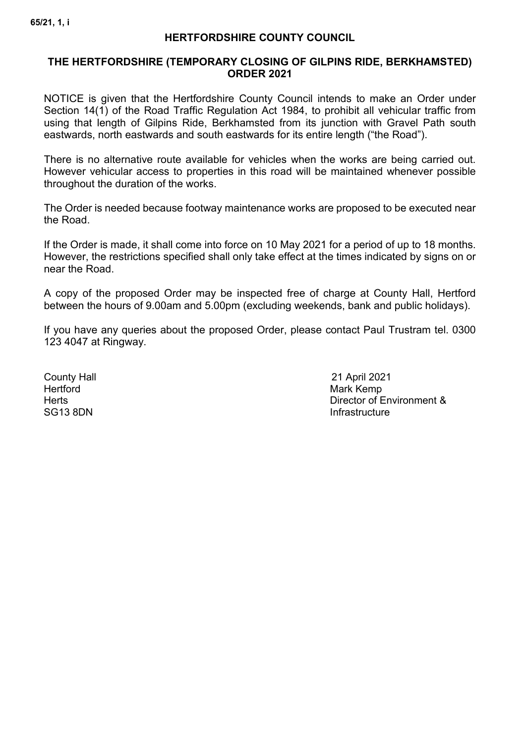#### **HERTFORDSHIRE COUNTY COUNCIL**

#### **THE HERTFORDSHIRE (TEMPORARY CLOSING OF GILPINS RIDE, BERKHAMSTED) ORDER 2021**

NOTICE is given that the Hertfordshire County Council intends to make an Order under Section 14(1) of the Road Traffic Regulation Act 1984, to prohibit all vehicular traffic from using that length of Gilpins Ride, Berkhamsted from its junction with Gravel Path south eastwards, north eastwards and south eastwards for its entire length ("the Road").

There is no alternative route available for vehicles when the works are being carried out. However vehicular access to properties in this road will be maintained whenever possible throughout the duration of the works.

The Order is needed because footway maintenance works are proposed to be executed near the Road.

If the Order is made, it shall come into force on 10 May 2021 for a period of up to 18 months. However, the restrictions specified shall only take effect at the times indicated by signs on or near the Road.

A copy of the proposed Order may be inspected free of charge at County Hall, Hertford between the hours of 9.00am and 5.00pm (excluding weekends, bank and public holidays).

If you have any queries about the proposed Order, please contact Paul Trustram tel. 0300 123 4047 at Ringway.

Hertford Mark Kemp

County Hall 21 April 2021 Herts<br>
Herts Director of Environment &<br>
SG13 8DN Infrastructure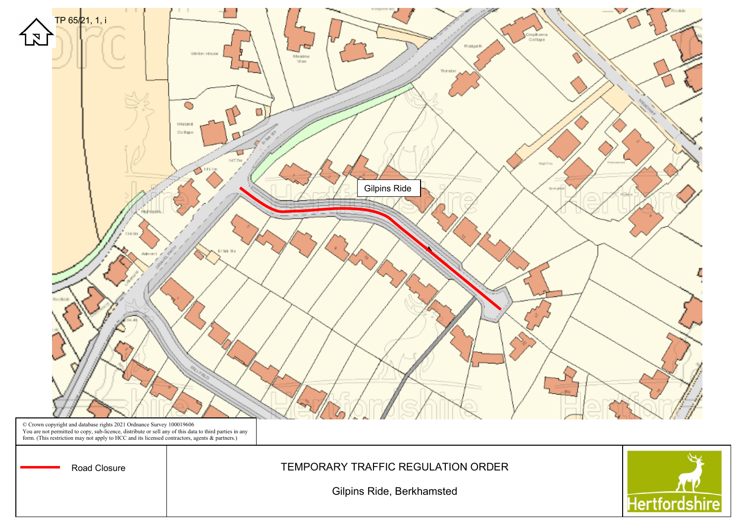

© Crown copyright and database rights 2021 Ordnance Survey 100019606<br>You are not permitted to copy, sub-licence, distribute or sell any of this data to third parties in any<br>form. (This restriction may not apply to HCC and

Road Closure | TEMPORARY TRAFFIC REGULATION ORDER

Gilpins Ride, Berkhamsted

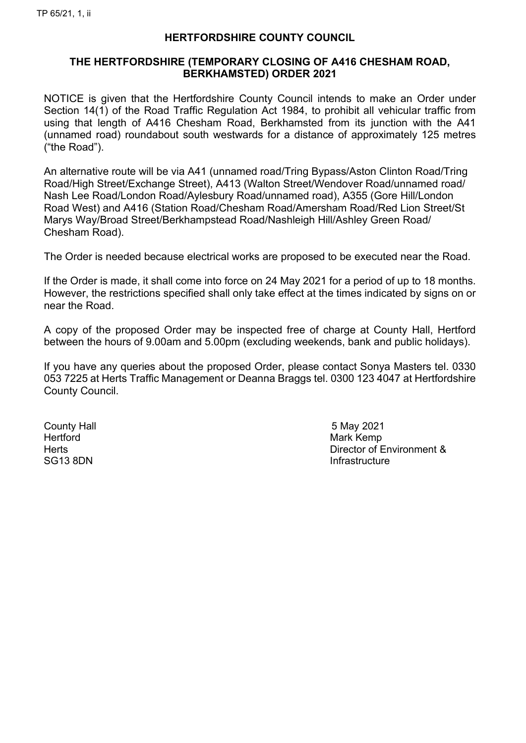# **HERTFORDSHIRE COUNTY COUNCIL**

## **THE HERTFORDSHIRE (TEMPORARY CLOSING OF A416 CHESHAM ROAD, BERKHAMSTED) ORDER 2021**

NOTICE is given that the Hertfordshire County Council intends to make an Order under Section 14(1) of the Road Traffic Regulation Act 1984, to prohibit all vehicular traffic from using that length of A416 Chesham Road, Berkhamsted from its junction with the A41 (unnamed road) roundabout south westwards for a distance of approximately 125 metres ("the Road").

An alternative route will be via A41 (unnamed road/Tring Bypass/Aston Clinton Road/Tring Road/High Street/Exchange Street), A413 (Walton Street/Wendover Road/unnamed road/ Nash Lee Road/London Road/Aylesbury Road/unnamed road), A355 (Gore Hill/London Road West) and A416 (Station Road/Chesham Road/Amersham Road/Red Lion Street/St Marys Way/Broad Street/Berkhampstead Road/Nashleigh Hill/Ashley Green Road/ Chesham Road).

The Order is needed because electrical works are proposed to be executed near the Road.

If the Order is made, it shall come into force on 24 May 2021 for a period of up to 18 months. However, the restrictions specified shall only take effect at the times indicated by signs on or near the Road.

A copy of the proposed Order may be inspected free of charge at County Hall, Hertford between the hours of 9.00am and 5.00pm (excluding weekends, bank and public holidays).

If you have any queries about the proposed Order, please contact Sonya Masters tel. 0330 053 7225 at Herts Traffic Management or Deanna Braggs tel. 0300 123 4047 at Hertfordshire County Council.

County Hall 5 May 2021 Hertford Mark Kemp

Herts Director of Environment & SG13 8DN **Infrastructure**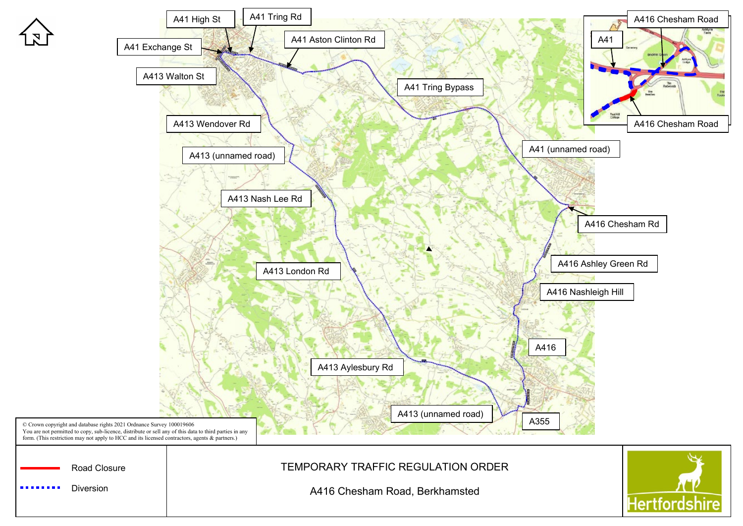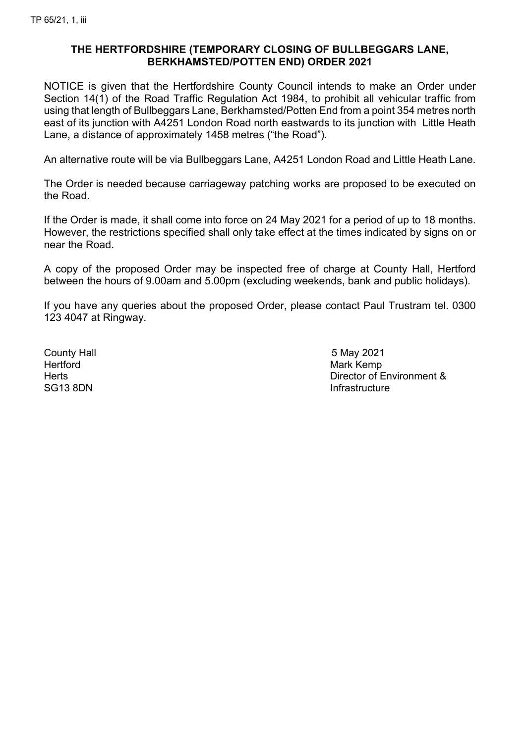## **THE HERTFORDSHIRE (TEMPORARY CLOSING OF BULLBEGGARS LANE, BERKHAMSTED/POTTEN END) ORDER 2021**

NOTICE is given that the Hertfordshire County Council intends to make an Order under Section 14(1) of the Road Traffic Regulation Act 1984, to prohibit all vehicular traffic from using that length of Bullbeggars Lane, Berkhamsted/Potten End from a point 354 metres north east of its junction with A4251 London Road north eastwards to its junction with Little Heath Lane, a distance of approximately 1458 metres ("the Road").

An alternative route will be via Bullbeggars Lane, A4251 London Road and Little Heath Lane.

The Order is needed because carriageway patching works are proposed to be executed on the Road.

If the Order is made, it shall come into force on 24 May 2021 for a period of up to 18 months. However, the restrictions specified shall only take effect at the times indicated by signs on or near the Road.

A copy of the proposed Order may be inspected free of charge at County Hall, Hertford between the hours of 9.00am and 5.00pm (excluding weekends, bank and public holidays).

If you have any queries about the proposed Order, please contact Paul Trustram tel. 0300 123 4047 at Ringway.

County Hall **5 May 2021** Hertford Mark Kemp

Herts **Director of Environment &** SG13 8DN **Infrastructure**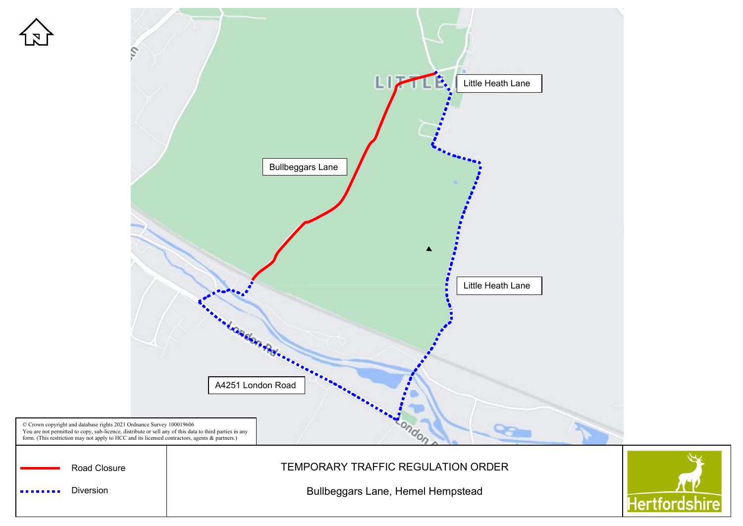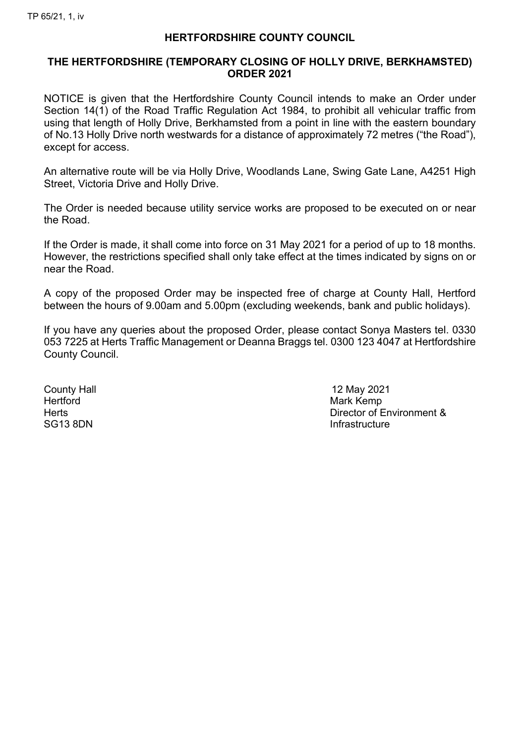#### **HERTFORDSHIRE COUNTY COUNCIL**

### **THE HERTFORDSHIRE (TEMPORARY CLOSING OF HOLLY DRIVE, BERKHAMSTED) ORDER 2021**

NOTICE is given that the Hertfordshire County Council intends to make an Order under Section 14(1) of the Road Traffic Regulation Act 1984, to prohibit all vehicular traffic from using that length of Holly Drive, Berkhamsted from a point in line with the eastern boundary of No.13 Holly Drive north westwards for a distance of approximately 72 metres ("the Road"), except for access.

An alternative route will be via Holly Drive, Woodlands Lane, Swing Gate Lane, A4251 High Street, Victoria Drive and Holly Drive.

The Order is needed because utility service works are proposed to be executed on or near the Road.

If the Order is made, it shall come into force on 31 May 2021 for a period of up to 18 months. However, the restrictions specified shall only take effect at the times indicated by signs on or near the Road.

A copy of the proposed Order may be inspected free of charge at County Hall, Hertford between the hours of 9.00am and 5.00pm (excluding weekends, bank and public holidays).

If you have any queries about the proposed Order, please contact Sonya Masters tel. 0330 053 7225 at Herts Traffic Management or Deanna Braggs tel. 0300 123 4047 at Hertfordshire County Council.

Hertford Mark Kemp

County Hall 12 May 2021 Herts **Director of Environment &** SG13 8DN **Infrastructure**